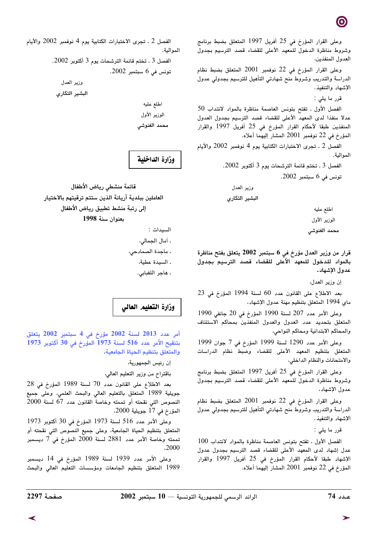وعلى القرار المؤرخ في 25 أفريل 1997 المتعلق بضبط برنامج وشروط مناظرة الدخول للمعهد الأعلى للقضاء قصد الترسيم بجدول العدول المنفذين،

وعلى القرار المؤرخ في 22 نوفمبر 2001 المتعلق بضبط نظام الدراسة والتدريب وشروط منح شهادتي التأهيل للترسيم بجدولي عدول الإشهاد والتنفيذ.

قرر ما يلي :

الفصل الأول . تفتح بتونس العاصمة مناظرة بالمواد لانتداب 50 عدلا منفذا لدى المعهد الأعلى للقضاء قصد الترسيم بجدول العدول المنفذين طبقا لأحكام القرار المؤرخ في 25 أفريل 1997 والقرار المؤرخ في 22 نوفمبر 2001 المشار إليهما أعلاه.

الفصل 2 ـ تجرى الاختبارات الكتابية يوم 4 نوفمبر 2002 والأيام الموالية.

الفصل 3 . تختم قائمة الترشحات يوم 3 أكتوبر 2002.

تونس في 6 سبتمبر 2002.

وزير العدل البشير التكارى

> اطلع عليه الوزير الأول محمد الغنوشى

قرار من وزير العدل مؤرخ في 6 سبتمبر 2002 يتعلق بفتح مناظرة بالمواد للدخول للمعهد الأعلى للقضاء قصد الترسيم بجدول عدول الإشهاد.

إن وزير العدل،

بعد الاطلاع على القانون عدد 60 لسنة 1994 المؤرخ في 23 ماي 1994 المتعلق بتنظيم مهنة عدول الإشهاد،

وعلى الأمر عدد 207 لسنة 1990 المؤرخ في 20 جانفي 1990 المتعلق بتحديد عدد العدول والعدول المنفذين بمحاكم الاستئناف والمحاكم الابتدائية ومحاكم النواحي،

وعلى الأمر عدد 1290 لسنة 1999 المؤرخ في 7 جوان 1999 المتعلق بتنظيم المعهد الأعلى للقضاء وضبط نظام الدراسات والامتحانات والنظام الداخلي،

وعلى القرار المؤرخ في 25 أفريل 1997 المتعلق بضبط برنامج وشروط مناظرة الدخول للمعهد الأعلى للقضاء قصد الترسيم بجدول عدول الإشهاد،

وعلى القرار المؤرخ في 22 نوفمبر 2001 المتعلق بضبط نظام الدراسة والتدريب وشروط منح شهادتي التأهيل للترسيم بجدولي عدول الإشهاد والتنفيذ.

قرر ما يلي :

الفصل الأول ـ تفتح بتونس العاصمة مناظرة بالمواد لانتداب 100 عدل إشهاد لدى المعهد الأعلى للقضاء قصد الترسيم بجدول عدول الإشهاد طبقا لأحكام القرار المؤرخ في 25 أفريل 1997 والقرار المؤرخ في 22 نوفمبر 2001 المشار إليهما أعلاه.

الفصل 2 ـ تجرى الاختبارات الكتابية يوم 4 نوفمبر 2002 والأيام الموالية. الفصل 3 . تختم قائمة الترشحات يوم 3 أكتوبر 2002. تونس فى 6 سبتمبر 2002. وزير العدل البشير التكارى اطلع عليه

> الوزير الأول محمد الغنوشى

وزارة الداخلية

قائمة منشطى رياض الأطفال العاملين ببلدية أريانة الذين ستتم ترقيتهم بالاختيار إلى رتبة منشط تطبيق رياض الأطفال يعنوان سنة 1998

السيدات :

. أمال الجمالي،

. ماجدة الصمادحى،

. السيدة عطية،

. هاجر اللغبابي.

## وزارة التعليم العالى

أمر عدد 2013 لسنة 2002 مؤرخ في 4 سبتمبر 2002 يتعلق بتنقيح الأمر عدد 516 لسنة 1973 المؤرخ في 30 أكتوبر 1973 والمتعلق بتنظيم الحياة الجامعية.

إن رئيس الجمهورية،

باقتراح من وزير التعليم العالي،

بعد الاطلاع على القانون عدد 70 لسنة 1989 المؤرخ في 28 جويلية 1989 المتعلق بالتعليم العالي والبحث العلمي، وعلى جميع النصوص التي نقحته أو تممته وخاصة القانون عدد 67 لسنة 2000 المؤرخ في 17 جويلية 2000،

وعلى الأمر عدد 516 لسنة 1973 المؤرخ في 30 أكتوبر 1973 المتعلق بتنظيم الحياة الجامعية، وعلى جميع النصوص التي نقحته أو تممته وخاصة الأمر عدد 2881 لسنة 2000 المؤرخ في 7 ديسمبر

وعلى الأمر عدد 1939 لسنة 1989 المؤرخ في 14 ديسمبر 1989 المتعلق بتنظيم الجامعات ومؤسسات التعليم العالى والبحث